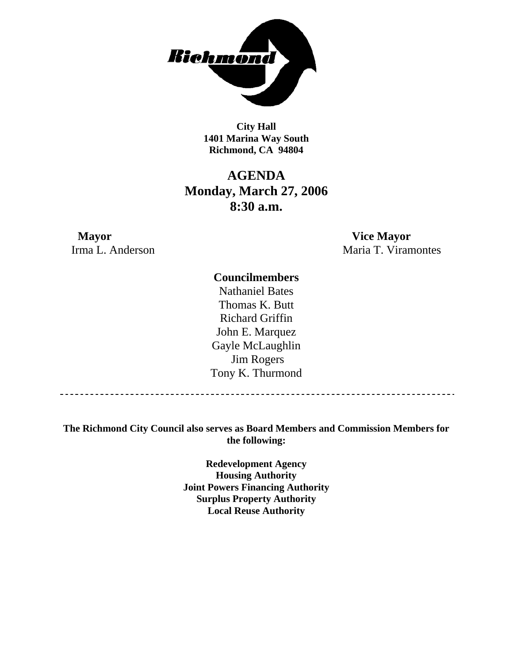

**City Hall 1401 Marina Way South Richmond, CA 94804** 

## **AGENDA Monday, March 27, 2006 8:30 a.m.**

**Mayor Vice Mayor** 

Irma L. Anderson Maria T. Viramontes

### **Councilmembers**

Nathaniel Bates Thomas K. Butt Richard Griffin John E. Marquez Gayle McLaughlin Jim Rogers Tony K. Thurmond

----------------------------------

**The Richmond City Council also serves as Board Members and Commission Members for the following:** 

> **Redevelopment Agency Housing Authority Joint Powers Financing Authority Surplus Property Authority Local Reuse Authority**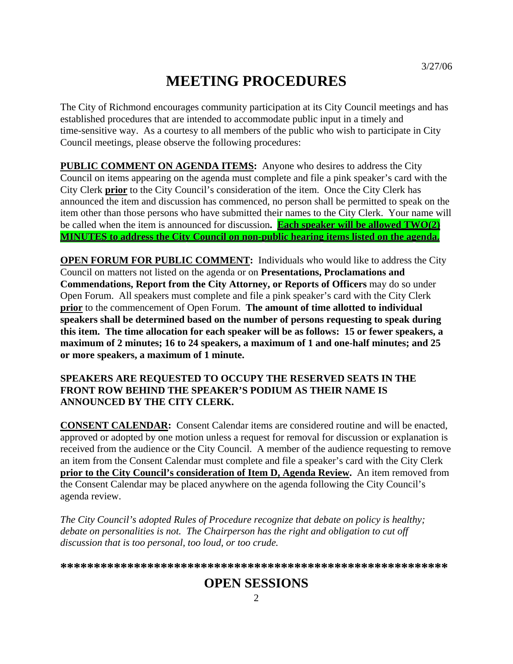# **MEETING PROCEDURES**

The City of Richmond encourages community participation at its City Council meetings and has established procedures that are intended to accommodate public input in a timely and time-sensitive way. As a courtesy to all members of the public who wish to participate in City Council meetings, please observe the following procedures:

**PUBLIC COMMENT ON AGENDA ITEMS:** Anyone who desires to address the City Council on items appearing on the agenda must complete and file a pink speaker's card with the City Clerk **prior** to the City Council's consideration of the item. Once the City Clerk has announced the item and discussion has commenced, no person shall be permitted to speak on the item other than those persons who have submitted their names to the City Clerk. Your name will be called when the item is announced for discussion**. Each speaker will be allowed TWO(2) MINUTES to address the City Council on non-public hearing items listed on the agenda.**

**OPEN FORUM FOR PUBLIC COMMENT:** Individuals who would like to address the City Council on matters not listed on the agenda or on **Presentations, Proclamations and Commendations, Report from the City Attorney, or Reports of Officers** may do so under Open Forum. All speakers must complete and file a pink speaker's card with the City Clerk **prior** to the commencement of Open Forum. **The amount of time allotted to individual speakers shall be determined based on the number of persons requesting to speak during this item. The time allocation for each speaker will be as follows: 15 or fewer speakers, a maximum of 2 minutes; 16 to 24 speakers, a maximum of 1 and one-half minutes; and 25 or more speakers, a maximum of 1 minute.** 

### **SPEAKERS ARE REQUESTED TO OCCUPY THE RESERVED SEATS IN THE FRONT ROW BEHIND THE SPEAKER'S PODIUM AS THEIR NAME IS ANNOUNCED BY THE CITY CLERK.**

**CONSENT CALENDAR:** Consent Calendar items are considered routine and will be enacted, approved or adopted by one motion unless a request for removal for discussion or explanation is received from the audience or the City Council. A member of the audience requesting to remove an item from the Consent Calendar must complete and file a speaker's card with the City Clerk **prior to the City Council's consideration of Item D, Agenda Review.** An item removed from the Consent Calendar may be placed anywhere on the agenda following the City Council's agenda review.

*The City Council's adopted Rules of Procedure recognize that debate on policy is healthy; debate on personalities is not. The Chairperson has the right and obligation to cut off discussion that is too personal, too loud, or too crude.* 

**\*\*\*\*\*\*\*\*\*\*\*\*\*\*\*\*\*\*\*\*\*\*\*\*\*\*\*\*\*\*\*\*\*\*\*\*\*\*\*\*\*\*\*\*\*\*\*\*\*\*\*\*\*\*\*\*\*\***

## **OPEN SESSIONS**